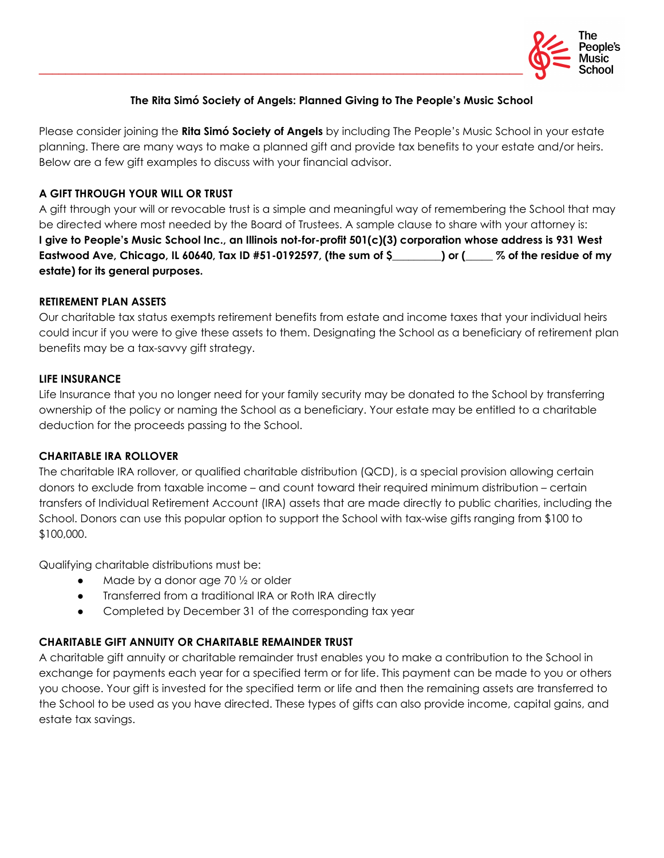

## **The Rita Simó Society of Angels: Planned Giving to The People's Music School**

Please consider joining the **Rita Simó Society of Angels** by including The People's Music School in your estate planning. There are many ways to make a planned gift and provide tax benefits to your estate and/or heirs. Below are a few gift examples to discuss with your financial advisor.

#### **A GIFT THROUGH YOUR WILL OR TRUST**

A gift through your will or revocable trust is a simple and meaningful way of remembering the School that may be directed where most needed by the Board of Trustees. A sample clause to share with your attorney is: I give to People's Music School Inc., an Illinois not-for-profit 501(c)(3) corporation whose address is 931 West Eastwood Ave, Chicago, IL 60640, Tax ID #51-0192597, (the sum of \$\_\_\_\_\_\_) or (\_\_\_\_ % of the residue of my **estate) for its general purposes.**

#### **RETIREMENT PLAN ASSETS**

Our charitable tax status exempts retirement benefits from estate and income taxes that your individual heirs could incur if you were to give these assets to them. Designating the School as a beneficiary of retirement plan benefits may be a tax-savvy gift strategy.

#### **LIFE INSURANCE**

Life Insurance that you no longer need for your family security may be donated to the School by transferring ownership of the policy or naming the School as a beneficiary. Your estate may be entitled to a charitable deduction for the proceeds passing to the School.

#### **CHARITABLE IRA ROLLOVER**

The charitable IRA rollover, or qualified charitable distribution (QCD), is a special provision allowing certain donors to exclude from taxable income – and count toward their required minimum distribution – certain transfers of Individual Retirement Account (IRA) assets that are made directly to public charities, including the School. Donors can use this popular option to support the School with tax-wise gifts ranging from \$100 to \$100,000.

Qualifying charitable distributions must be:

- Made by a donor age 70  $\frac{1}{2}$  or older
- Transferred from a traditional IRA or Roth IRA directly
- Completed by December 31 of the corresponding tax year

### **CHARITABLE GIFT ANNUITY OR CHARITABLE REMAINDER TRUST**

A charitable gift annuity or charitable remainder trust enables you to make a contribution to the School in exchange for payments each year for a specified term or for life. This payment can be made to you or others you choose. Your gift is invested for the specified term or life and then the remaining assets are transferred to the School to be used as you have directed. These types of gifts can also provide income, capital gains, and estate tax savings.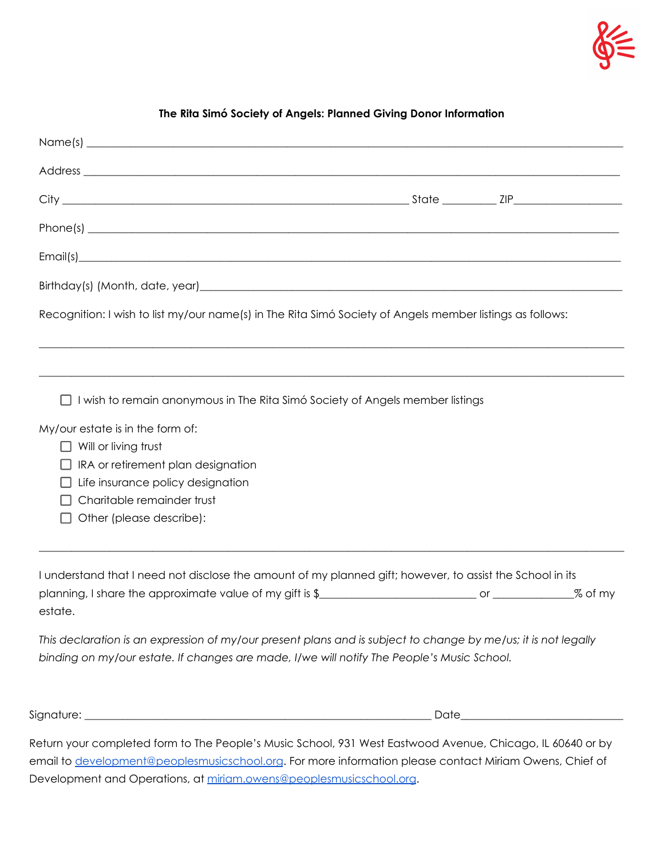# $Name(s)$ Address \_\_\_\_\_\_\_\_\_\_\_\_\_\_\_\_\_\_\_\_\_\_\_\_\_\_\_\_\_\_\_\_\_\_\_\_\_\_\_\_\_\_\_\_\_\_\_\_\_\_\_\_\_\_\_\_\_\_\_\_\_\_\_\_\_\_\_\_\_\_\_\_\_\_\_\_\_\_\_\_\_\_\_\_\_\_\_\_\_\_\_\_\_\_\_\_\_\_\_ City \_\_\_\_\_\_\_\_\_\_\_\_\_\_\_\_\_\_\_\_\_\_\_\_\_\_\_\_\_\_\_\_\_\_\_\_\_\_\_\_\_\_\_\_\_\_\_\_\_\_\_\_\_\_\_\_\_\_\_\_\_\_\_\_ State \_\_\_\_\_\_\_\_\_\_ ZIP\_\_\_\_\_\_\_\_\_\_\_\_\_\_\_\_\_\_\_\_  $\mathsf{Phone}(s)$  $\mathsf{Email}(s)$ Birthday(s) (Month, date, year)\_\_\_\_\_\_\_\_\_\_\_\_\_\_\_\_\_\_\_\_\_\_\_\_\_\_\_\_\_\_\_\_\_\_\_\_\_\_\_\_\_\_\_\_\_\_\_\_\_\_\_\_\_\_\_\_\_\_\_\_\_\_\_\_\_\_\_\_\_\_\_\_\_\_\_\_\_\_ Recognition: I wish to list my/our name(s) in The Rita Simó Society of Angels member listings as follows: \_\_\_\_\_\_\_\_\_\_\_\_\_\_\_\_\_\_\_\_\_\_\_\_\_\_\_\_\_\_\_\_\_\_\_\_\_\_\_\_\_\_\_\_\_\_\_\_\_\_\_\_\_\_\_\_\_\_\_\_\_\_\_\_\_\_\_\_\_\_\_\_\_\_\_\_\_\_\_\_\_\_\_\_\_\_\_\_\_\_\_\_\_\_\_\_\_\_\_\_\_\_\_\_\_\_\_\_ \_\_\_\_\_\_\_\_\_\_\_\_\_\_\_\_\_\_\_\_\_\_\_\_\_\_\_\_\_\_\_\_\_\_\_\_\_\_\_\_\_\_\_\_\_\_\_\_\_\_\_\_\_\_\_\_\_\_\_\_\_\_\_\_\_\_\_\_\_\_\_\_\_\_\_\_\_\_\_\_\_\_\_\_\_\_\_\_\_\_\_\_\_\_\_\_\_\_\_\_\_\_\_\_\_\_\_\_  $\Box$  I wish to remain anonymous in The Rita Simó Society of Angels member listings My/our estate is in the form of: Will or living trust  $\Box$  IRA or retirement plan designation  $\Box$  Life insurance policy designation □ Charitable remainder trust Other (please describe): \_\_\_\_\_\_\_\_\_\_\_\_\_\_\_\_\_\_\_\_\_\_\_\_\_\_\_\_\_\_\_\_\_\_\_\_\_\_\_\_\_\_\_\_\_\_\_\_\_\_\_\_\_\_\_\_\_\_\_\_\_\_\_\_\_\_\_\_\_\_\_\_\_\_\_\_\_\_\_\_\_\_\_\_\_\_\_\_\_\_\_\_\_\_\_\_\_\_\_\_\_\_\_\_\_\_\_\_ I understand that I need not disclose the amount of my planned gift; however, to assist the School in its planning, I share the approximate value of my gift is \$\_\_\_\_\_\_\_\_\_\_\_\_\_\_\_\_\_\_\_\_\_\_\_\_\_\_\_\_\_ or \_\_\_\_\_\_\_\_\_\_\_\_\_\_\_% of my estate. This declaration is an expression of my/our present plans and is subject to change by me/us; it is not legally *binding on my/our estate. If changes are made, I/we will notify The People's Music School.*

**The Rita Simó Society of Angels: Planned Giving Donor Information**

Signature: \_\_\_\_\_\_\_\_\_\_\_\_\_\_\_\_\_\_\_\_\_\_\_\_\_\_\_\_\_\_\_\_\_\_\_\_\_\_\_\_\_\_\_\_\_\_\_\_\_\_\_\_\_\_\_\_\_\_\_\_\_\_\_\_ Date\_\_\_\_\_\_\_\_\_\_\_\_\_\_\_\_\_\_\_\_\_\_\_\_\_\_\_\_\_\_

Return your completed form to The People's Music School, 931 West Eastwood Avenue, Chicago, IL 60640 or by email to [development@peoplesmusicschool.org](mailto:development@peoplesmusicschool.org). For more information please contact Miriam Owens, Chief of Development and Operations, at [miriam.owens@peoplesmusicschool.org](mailto:miriam.owens@peoplesmusicschool.org).